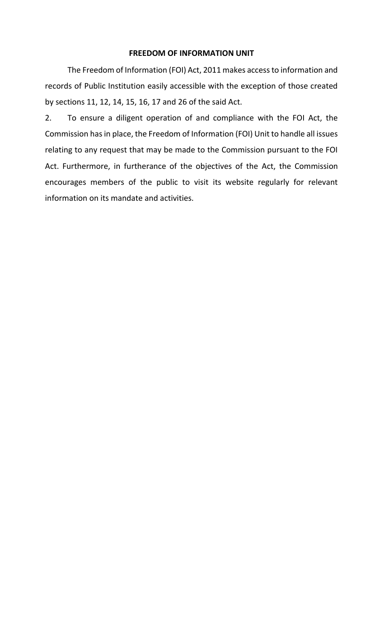## **FREEDOM OF INFORMATION UNIT**

The Freedom of Information (FOI) Act, 2011 makes access to information and records of Public Institution easily accessible with the exception of those created by sections 11, 12, 14, 15, 16, 17 and 26 of the said Act.

2. To ensure a diligent operation of and compliance with the FOI Act, the Commission has in place, the Freedom of Information (FOI) Unit to handle all issues relating to any request that may be made to the Commission pursuant to the FOI Act. Furthermore, in furtherance of the objectives of the Act, the Commission encourages members of the public to visit its website regularly for relevant information on its mandate and activities.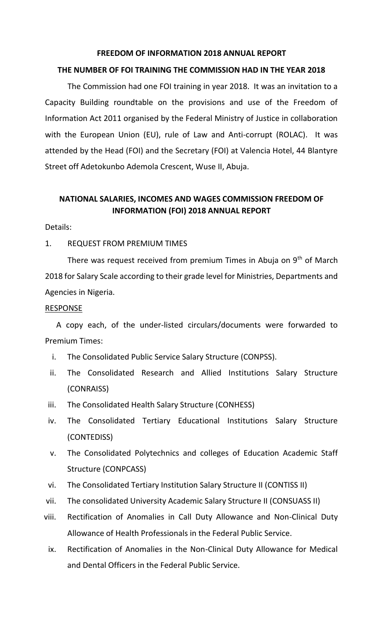### **FREEDOM OF INFORMATION 2018 ANNUAL REPORT**

#### **THE NUMBER OF FOI TRAINING THE COMMISSION HAD IN THE YEAR 2018**

The Commission had one FOI training in year 2018. It was an invitation to a Capacity Building roundtable on the provisions and use of the Freedom of Information Act 2011 organised by the Federal Ministry of Justice in collaboration with the European Union (EU), rule of Law and Anti-corrupt (ROLAC). It was attended by the Head (FOI) and the Secretary (FOI) at Valencia Hotel, 44 Blantyre Street off Adetokunbo Ademola Crescent, Wuse II, Abuja.

# **NATIONAL SALARIES, INCOMES AND WAGES COMMISSION FREEDOM OF INFORMATION (FOI) 2018 ANNUAL REPORT**

#### Details:

### 1. REQUEST FROM PREMIUM TIMES

There was request received from premium Times in Abuja on  $9<sup>th</sup>$  of March 2018 for Salary Scale according to their grade level for Ministries, Departments and Agencies in Nigeria.

#### RESPONSE

A copy each, of the under-listed circulars/documents were forwarded to Premium Times:

- i. The Consolidated Public Service Salary Structure (CONPSS).
- ii. The Consolidated Research and Allied Institutions Salary Structure (CONRAISS)
- iii. The Consolidated Health Salary Structure (CONHESS)
- iv. The Consolidated Tertiary Educational Institutions Salary Structure (CONTEDISS)
- v. The Consolidated Polytechnics and colleges of Education Academic Staff Structure (CONPCASS)
- vi. The Consolidated Tertiary Institution Salary Structure II (CONTISS II)
- vii. The consolidated University Academic Salary Structure II (CONSUASS II)
- viii. Rectification of Anomalies in Call Duty Allowance and Non-Clinical Duty Allowance of Health Professionals in the Federal Public Service.
	- ix. Rectification of Anomalies in the Non-Clinical Duty Allowance for Medical and Dental Officers in the Federal Public Service.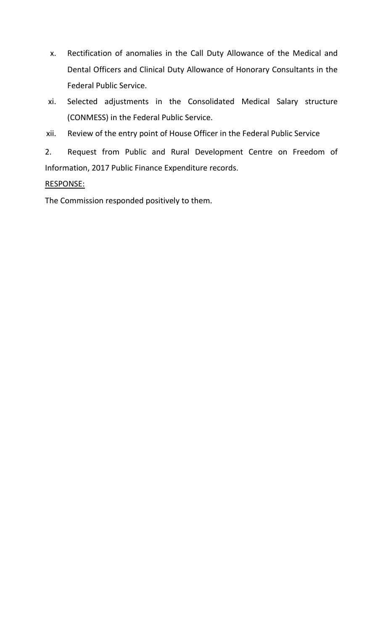- x. Rectification of anomalies in the Call Duty Allowance of the Medical and Dental Officers and Clinical Duty Allowance of Honorary Consultants in the Federal Public Service.
- xi. Selected adjustments in the Consolidated Medical Salary structure (CONMESS) in the Federal Public Service.
- xii. Review of the entry point of House Officer in the Federal Public Service

2. Request from Public and Rural Development Centre on Freedom of Information, 2017 Public Finance Expenditure records.

# RESPONSE:

The Commission responded positively to them.